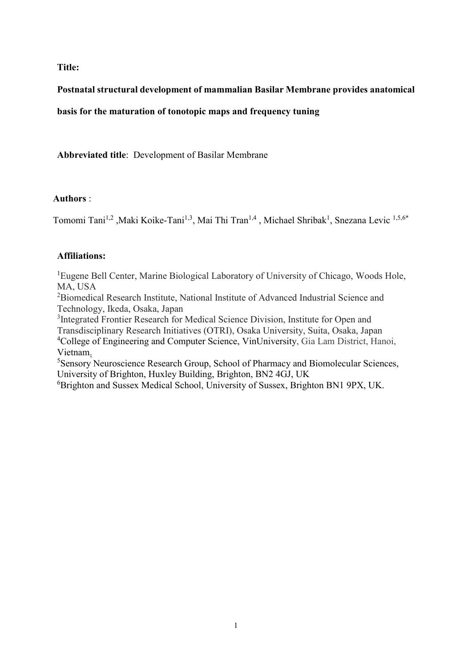**Title:** 

## **Postnatal structural development of mammalian Basilar Membrane provides anatomical**

**basis for the maturation of tonotopic maps and frequency tuning** 

**Abbreviated title**: Development of Basilar Membrane

## **Authors** :

Tomomi Tani<sup>1,2</sup> ,Maki Koike-Tani<sup>1,3</sup>, Mai Thi Tran<sup>1,4</sup> , Michael Shribak<sup>1</sup>, Snezana Levic <sup>1,5,6\*</sup>

## **Affiliations:**

<sup>1</sup>Eugene Bell Center, Marine Biological Laboratory of University of Chicago, Woods Hole, MA, USA

<sup>2</sup>Biomedical Research Institute, National Institute of Advanced Industrial Science and Technology, Ikeda, Osaka, Japan

<sup>3</sup>Integrated Frontier Research for Medical Science Division, Institute for Open and Transdisciplinary Research Initiatives (OTRI), Osaka University, Suita, Osaka, Japan <sup>4</sup>College of Engineering and Computer Science, VinUniversity, Gia Lam District, Hanoi, Vietnam.

<sup>5</sup>Sensory Neuroscience Research Group, School of Pharmacy and Biomolecular Sciences, University of Brighton, Huxley Building, Brighton, BN2 4GJ, UK

<sup>6</sup>Brighton and Sussex Medical School, University of Sussex, Brighton BN1 9PX, UK.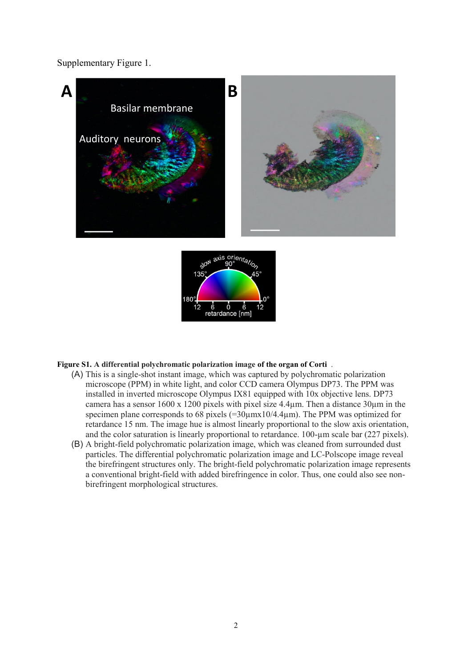Supplementary Figure 1.





## **Figure S1. A differential polychromatic polarization image of the organ of Corti** .

- (A) This is a single-shot instant image, which was captured by polychromatic polarization microscope (PPM) in white light, and color CCD camera Olympus DP73. The PPM was installed in inverted microscope Olympus IX81 equipped with 10x objective lens. DP73 camera has a sensor  $1600 \times 1200$  pixels with pixel size 4.4 $\mu$ m. Then a distance 30 $\mu$ m in the specimen plane corresponds to 68 pixels  $(=30 \mu m \times 10/4.4 \mu m)$ . The PPM was optimized for retardance 15 nm. The image hue is almost linearly proportional to the slow axis orientation, and the color saturation is linearly proportional to retardance. 100-µm scale bar (227 pixels).
- (B) A bright-field polychromatic polarization image, which was cleaned from surrounded dust particles. The differential polychromatic polarization image and LC-Polscope image reveal the birefringent structures only. The bright-field polychromatic polarization image represents a conventional bright-field with added birefringence in color. Thus, one could also see nonbirefringent morphological structures.